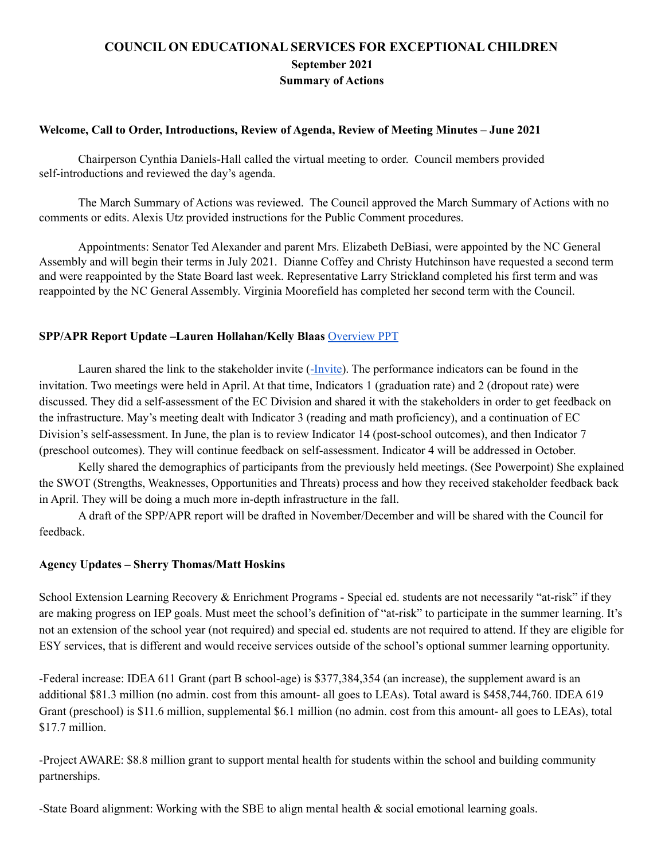# **COUNCIL ON EDUCATIONAL SERVICES FOR EXCEPTIONAL CHILDREN September 2021 Summary of Actions**

## **Welcome, Call to Order, Introductions, Review of Agenda, Review of Meeting Minutes – June 2021**

Chairperson Cynthia Daniels-Hall called the virtual meeting to order. Council members provided self-introductions and reviewed the day's agenda.

The March Summary of Actions was reviewed. The Council approved the March Summary of Actions with no comments or edits. Alexis Utz provided instructions for the Public Comment procedures.

Appointments: Senator Ted Alexander and parent Mrs. Elizabeth DeBiasi, were appointed by the NC General Assembly and will begin their terms in July 2021. Dianne Coffey and Christy Hutchinson have requested a second term and were reappointed by the State Board last week. Representative Larry Strickland completed his first term and was reappointed by the NC General Assembly. Virginia Moorefield has completed her second term with the Council.

### **SPP/APR Report Update –Lauren Hollahan/Kelly Blaas** [Overview](https://drive.google.com/file/d/1-9R0vsm33xsBY6J0p-czV50KB05NmZEK/view?usp=sharing) PPT

Lauren shared the link to the stakeholder invite ([-Invite\)](https://docs.google.com/document/d/1903D7g8utUpt2o-en5E1uHcovFH8oSi0drW9q1AiDP8/edit). The performance indicators can be found in the invitation. Two meetings were held in April. At that time, Indicators 1 (graduation rate) and 2 (dropout rate) were discussed. They did a self-assessment of the EC Division and shared it with the stakeholders in order to get feedback on the infrastructure. May's meeting dealt with Indicator 3 (reading and math proficiency), and a continuation of EC Division's self-assessment. In June, the plan is to review Indicator 14 (post-school outcomes), and then Indicator 7 (preschool outcomes). They will continue feedback on self-assessment. Indicator 4 will be addressed in October.

Kelly shared the demographics of participants from the previously held meetings. (See Powerpoint) She explained the SWOT (Strengths, Weaknesses, Opportunities and Threats) process and how they received stakeholder feedback back in April. They will be doing a much more in-depth infrastructure in the fall.

A draft of the SPP/APR report will be drafted in November/December and will be shared with the Council for feedback.

#### **Agency Updates – Sherry Thomas/Matt Hoskins**

School Extension Learning Recovery & Enrichment Programs - Special ed. students are not necessarily "at-risk" if they are making progress on IEP goals. Must meet the school's definition of "at-risk" to participate in the summer learning. It's not an extension of the school year (not required) and special ed. students are not required to attend. If they are eligible for ESY services, that is different and would receive services outside of the school's optional summer learning opportunity.

-Federal increase: IDEA 611 Grant (part B school-age) is \$377,384,354 (an increase), the supplement award is an additional \$81.3 million (no admin. cost from this amount- all goes to LEAs). Total award is \$458,744,760. IDEA 619 Grant (preschool) is \$11.6 million, supplemental \$6.1 million (no admin. cost from this amount- all goes to LEAs), total \$17.7 million.

-Project AWARE: \$8.8 million grant to support mental health for students within the school and building community partnerships.

-State Board alignment: Working with the SBE to align mental health & social emotional learning goals.